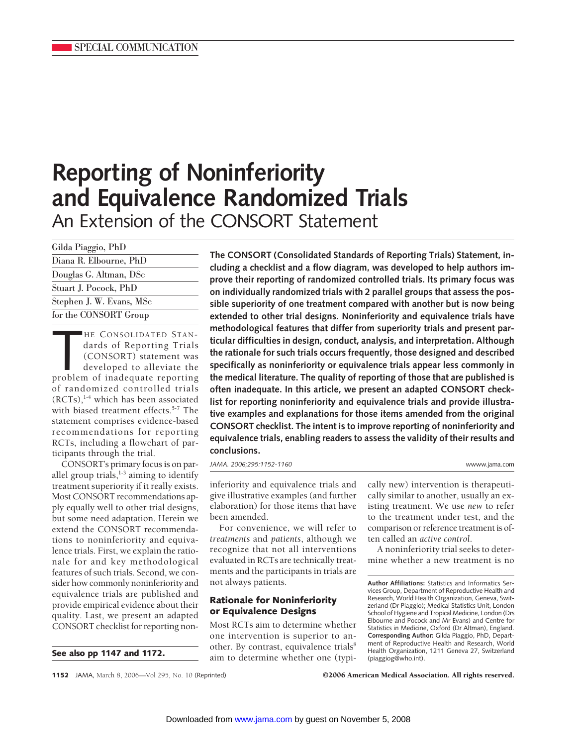# **Reporting of Noninferiority and Equivalence Randomized Trials** An Extension of the CONSORT Statement

| Gilda Piaggio, PhD       |
|--------------------------|
| Diana R. Elbourne, PhD   |
| Douglas G. Altman, DSc   |
| Stuart J. Pocock, PhD    |
| Stephen J. W. Evans, MSc |
| for the CONSORT Group    |

HE CONSOLIDATED STAN-<br>dards of Reporting Trials<br>(CONSORT) statement was<br>developed to alleviate the<br>problem of inadequate reporting HE CONSOLIDATED STANdards of Reporting Trials (CONSORT) statement was developed to alleviate the of randomized controlled trials  $(RCTs)$ ,<sup>1-4</sup> which has been associated with biased treatment effects.<sup>5-7</sup> The statement comprises evidence-based recommendations for reporting RCTs, including a flowchart of participants through the trial.

CONSORT's primary focus is on parallel group trials, $1-3$  aiming to identify treatment superiority if it really exists. Most CONSORT recommendations apply equally well to other trial designs, but some need adaptation. Herein we extend the CONSORT recommendations to noninferiority and equivalence trials. First, we explain the rationale for and key methodological features of such trials. Second, we consider how commonly noninferiority and equivalence trials are published and provide empirical evidence about their quality. Last, we present an adapted CONSORT checklist for reporting non-

**See also pp 1147 and 1172.**

**The CONSORT (Consolidated Standards of Reporting Trials) Statement, including a checklist and a flow diagram, was developed to help authors improve their reporting of randomized controlled trials. Its primary focus was on individually randomized trials with 2 parallel groups that assess the possible superiority of one treatment compared with another but is now being extended to other trial designs. Noninferiority and equivalence trials have methodological features that differ from superiority trials and present particular difficulties in design, conduct, analysis, and interpretation. Although the rationale for such trials occurs frequently, those designed and described specifically as noninferiority or equivalence trials appear less commonly in the medical literature. The quality of reporting of those that are published is often inadequate. In this article, we present an adapted CONSORT checklist for reporting noninferiority and equivalence trials and provide illustrative examples and explanations for those items amended from the original CONSORT checklist. The intent is to improve reporting of noninferiority and equivalence trials, enabling readers to assess the validity of their results and conclusions.**

*JAMA. 2006;295:1152-1160* wwww.jama.com

inferiority and equivalence trials and give illustrative examples (and further elaboration) for those items that have been amended.

For convenience, we will refer to *treatments* and *patients*, although we recognize that not all interventions evaluated in RCTs are technically treatments and the participants in trials are not always patients.

#### **Rationale for Noninferiority or Equivalence Designs**

Most RCTs aim to determine whether one intervention is superior to another. By contrast, equivalence trials<sup>8</sup> aim to determine whether one (typi-

cally new) intervention is therapeutically similar to another, usually an existing treatment. We use *new* to refer to the treatment under test, and the comparison or reference treatment is often called an *active control*.

A noninferiority trial seeks to determine whether a new treatment is no

**Author Affiliations:** Statistics and Informatics Services Group, Department of Reproductive Health and Research, World Health Organization, Geneva, Switzerland (Dr Piaggio); Medical Statistics Unit, London School of Hygiene and Tropical Medicine, London (Drs Elbourne and Pocock and Mr Evans) and Centre for Statistics in Medicine, Oxford (Dr Altman), England. **Corresponding Author:** Gilda Piaggio, PhD, Department of Reproductive Health and Research, World Health Organization, 1211 Geneva 27, Switzerland (piaggiog@who.int).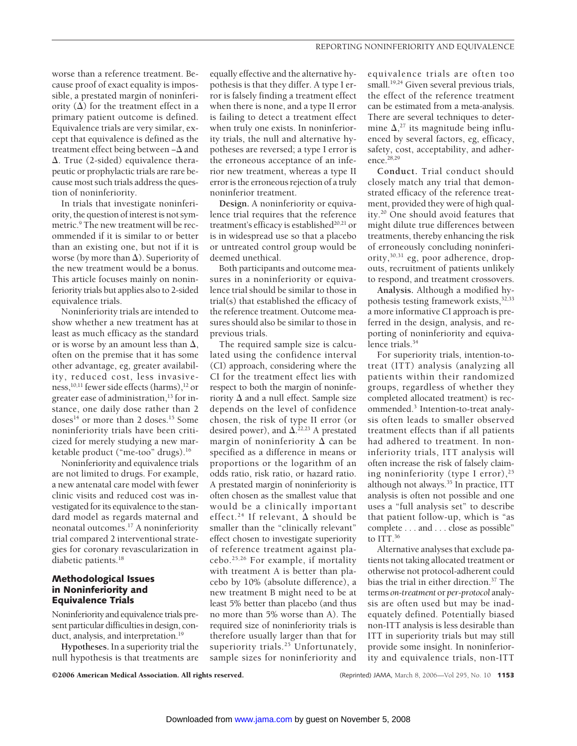worse than a reference treatment. Because proof of exact equality is impossible, a prestated margin of noninferiority  $(\Delta)$  for the treatment effect in a primary patient outcome is defined. Equivalence trials are very similar, except that equivalence is defined as the treatment effect being between  $-\Delta$  and  $\Delta$ . True (2-sided) equivalence therapeutic or prophylactic trials are rare because most such trials address the question of noninferiority.

In trials that investigate noninferiority, the question of interest is not symmetric.9 The new treatment will be recommended if it is similar to or better than an existing one, but not if it is worse (by more than  $\Delta$ ). Superiority of the new treatment would be a bonus. This article focuses mainly on noninferiority trials but applies also to 2-sided equivalence trials.

Noninferiority trials are intended to show whether a new treatment has at least as much efficacy as the standard or is worse by an amount less than  $\Delta$ , often on the premise that it has some other advantage, eg, greater availability, reduced cost, less invasiveness,<sup>10,11</sup> fewer side effects (harms),<sup>12</sup> or greater ease of administration,<sup>13</sup> for instance, one daily dose rather than 2 doses<sup>14</sup> or more than 2 doses.<sup>15</sup> Some noninferiority trials have been criticized for merely studying a new marketable product ("me-too" drugs).<sup>16</sup>

Noninferiority and equivalence trials are not limited to drugs. For example, a new antenatal care model with fewer clinic visits and reduced cost was investigated for its equivalence to the standard model as regards maternal and neonatal outcomes.17 A noninferiority trial compared 2 interventional strategies for coronary revascularization in diabetic patients.<sup>18</sup>

# **Methodological Issues in Noninferiority and Equivalence Trials**

Noninferiority and equivalence trials present particular difficulties in design, conduct, analysis, and interpretation.<sup>19</sup>

**Hypotheses.** In a superiority trial the null hypothesis is that treatments are

equally effective and the alternative hypothesis is that they differ. A type I error is falsely finding a treatment effect when there is none, and a type II error is failing to detect a treatment effect when truly one exists. In noninferiority trials, the null and alternative hypotheses are reversed; a type I error is the erroneous acceptance of an inferior new treatment, whereas a type II error is the erroneous rejection of a truly noninferior treatment.

**Design.** A noninferiority or equivalence trial requires that the reference treatment's efficacy is established<sup>20,21</sup> or is in widespread use so that a placebo or untreated control group would be deemed unethical.

Both participants and outcome measures in a noninferiority or equivalence trial should be similar to those in trial(s) that established the efficacy of the reference treatment. Outcome measures should also be similar to those in previous trials.

The required sample size is calculated using the confidence interval (CI) approach, considering where the CI for the treatment effect lies with respect to both the margin of noninferiority  $\Delta$  and a null effect. Sample size depends on the level of confidence chosen, the risk of type II error (or desired power), and  $\Delta$ .<sup>22,23</sup> A prestated margin of noninferiority  $\overline{\Delta}$  can be specified as a difference in means or proportions or the logarithm of an odds ratio, risk ratio, or hazard ratio. A prestated margin of noninferiority is often chosen as the smallest value that would be a clinically important effect.<sup>24</sup> If relevant,  $\Delta$  should be smaller than the "clinically relevant" effect chosen to investigate superiority of reference treatment against placebo.25,26 For example, if mortality with treatment A is better than placebo by 10% (absolute difference), a new treatment B might need to be at least 5% better than placebo (and thus no more than 5% worse than A). The required size of noninferiority trials is therefore usually larger than that for superiority trials.<sup>25</sup> Unfortunately, sample sizes for noninferiority and

equivalence trials are often too small.<sup>19,24</sup> Given several previous trials, the effect of the reference treatment can be estimated from a meta-analysis. There are several techniques to determine  $\Delta$ ,<sup>27</sup> its magnitude being influenced by several factors, eg, efficacy, safety, cost, acceptability, and adherence.<sup>28,29</sup>

**Conduct.** Trial conduct should closely match any trial that demonstrated efficacy of the reference treatment, provided they were of high quality.20 One should avoid features that might dilute true differences between treatments, thereby enhancing the risk of erroneously concluding noninferiority,30,31 eg, poor adherence, dropouts, recruitment of patients unlikely to respond, and treatment crossovers.

**Analysis.** Although a modified hypothesis testing framework exists,32,33 a more informative CI approach is preferred in the design, analysis, and reporting of noninferiority and equivalence trials.<sup>34</sup>

For superiority trials, intention-totreat (ITT) analysis (analyzing all patients within their randomized groups, regardless of whether they completed allocated treatment) is recommended.3 Intention-to-treat analysis often leads to smaller observed treatment effects than if all patients had adhered to treatment. In noninferiority trials, ITT analysis will often increase the risk of falsely claiming noninferiority (type I error),  $25$ although not always.<sup>35</sup> In practice, ITT analysis is often not possible and one uses a "full analysis set" to describe that patient follow-up, which is "as complete . . . and . . . close as possible" to ITT.<sup>36</sup>

Alternative analyses that exclude patients not taking allocated treatment or otherwise not protocol-adherent could bias the trial in either direction.37 The terms *on-treatment* or *per-protocol* analysis are often used but may be inadequately defined. Potentially biased non-ITT analysis is less desirable than ITT in superiority trials but may still provide some insight. In noninferiority and equivalence trials, non-ITT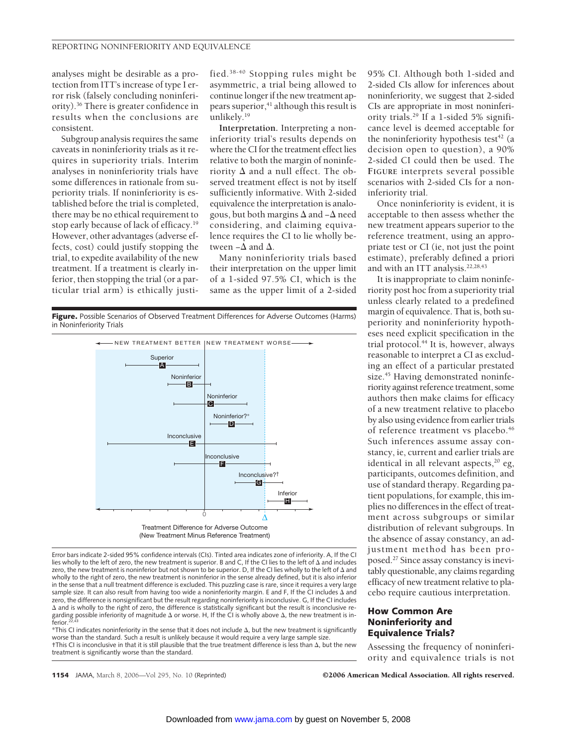analyses might be desirable as a protection from ITT's increase of type I error risk (falsely concluding noninferiority).36 There is greater confidence in results when the conclusions are consistent.

Subgroup analysis requires the same caveats in noninferiority trials as it requires in superiority trials. Interim analyses in noninferiority trials have some differences in rationale from superiority trials. If noninferiority is established before the trial is completed, there may be no ethical requirement to stop early because of lack of efficacy.<sup>19</sup> However, other advantages (adverse effects, cost) could justify stopping the trial, to expedite availability of the new treatment. If a treatment is clearly inferior, then stopping the trial (or a particular trial arm) is ethically justified.38-40 Stopping rules might be asymmetric, a trial being allowed to continue longer if the new treatment appears superior, $41$  although this result is unlikely.19

**Interpretation.** Interpreting a noninferiority trial's results depends on where the CI for the treatment effect lies relative to both the margin of noninferiority  $\Delta$  and a null effect. The observed treatment effect is not by itself sufficiently informative. With 2-sided equivalence the interpretation is analogous, but both margins  $\Delta$  and  $-\Delta$  need considering, and claiming equivalence requires the CI to lie wholly between  $-\Delta$  and  $\Delta$ .

Many noninferiority trials based their interpretation on the upper limit of a 1-sided 97.5% CI, which is the same as the upper limit of a 2-sided

**Figure.** Possible Scenarios of Observed Treatment Differences for Adverse Outcomes (Harms) in Noninferiority Trials



Error bars indicate 2-sided 95% confidence intervals (CIs). Tinted area indicates zone of inferiority. A, If the CI lies wholly to the left of zero, the new treatment is superior. B and C, If the CI lies to the left of  $\Delta$  and includes zero, the new treatment is noninferior but not shown to be superior. D, If the CI lies wholly to the left of  $\Delta$  and wholly to the right of zero, the new treatment is noninferior in the sense already defined, but it is also inferior in the sense that a null treatment difference is excluded. This puzzling case is rare, since it requires a very large sample size. It can also result from having too wide a noninferiority margin. E and F, If the CI includes  $\Delta$  and zero, the difference is nonsignificant but the result regarding noninferiority is inconclusive. G, If the CI includes  $\Delta$  and is wholly to the right of zero, the difference is statistically significant but the result is inconclusive regarding possible inferiority of magnitude  $\Delta$  or worse. H, If the CI is wholly above  $\Delta$ , the new treatment is inferior.

 $*$ This CI indicates noninferiority in the sense that it does not include  $\Delta$ , but the new treatment is significantly worse than the standard. Such a result is unlikely because it would require a very large sample size.<br>†This CI is inconclusive in that it is still plausible that the true treatment difference is less than Δ, but the new treatment is significantly worse than the standard.

95% CI. Although both 1-sided and 2-sided CIs allow for inferences about noninferiority, we suggest that 2-sided CIs are appropriate in most noninferiority trials.29 If a 1-sided 5% significance level is deemed acceptable for the noninferiority hypothesis test<sup>42</sup> (a decision open to question), a 90% 2-sided CI could then be used. The **FIGURE** interprets several possible scenarios with 2-sided CIs for a noninferiority trial.

Once noninferiority is evident, it is acceptable to then assess whether the new treatment appears superior to the reference treatment, using an appropriate test or CI (ie, not just the point estimate), preferably defined a priori and with an ITT analysis. $22,28,43$ 

It is inappropriate to claim noninferiority post hoc from a superiority trial unless clearly related to a predefined margin of equivalence. That is, both superiority and noninferiority hypotheses need explicit specification in the trial protocol.<sup>44</sup> It is, however, always reasonable to interpret a CI as excluding an effect of a particular prestated size.<sup>45</sup> Having demonstrated noninferiority against reference treatment, some authors then make claims for efficacy of a new treatment relative to placebo by also using evidence from earlier trials of reference treatment vs placebo.<sup>46</sup> Such inferences assume assay constancy, ie, current and earlier trials are identical in all relevant aspects,<sup>20</sup> eg, participants, outcomes definition, and use of standard therapy. Regarding patient populations, for example, this implies no differences in the effect of treatment across subgroups or similar distribution of relevant subgroups. In the absence of assay constancy, an adjustment method has been proposed.27 Since assay constancy is inevitably questionable, any claims regarding efficacy of new treatment relative to placebo require cautious interpretation.

# **How Common Are Noninferiority and Equivalence Trials?**

Assessing the frequency of noninferiority and equivalence trials is not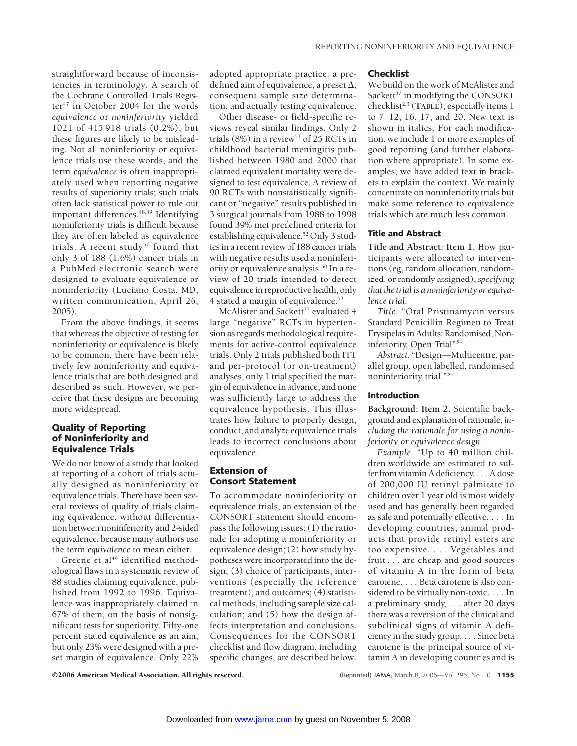straightforward because of inconsistencies in terminology. A search of the Cochrane Controlled Trials Register $47$  in October 2004 for the words *equivalence* or *noninferiority* yielded 1021 of 415 918 trials (0.2%), but these figures are likely to be misleading. Not all noninferiority or equivalence trials use these words, and the term *equivalence* is often inappropriately used when reporting negative results of superiority trials; such trials often lack statistical power to rule out important differences.<sup>48,49</sup> Identifying noninferiority trials is difficult because they are often labeled as equivalence trials. A recent study<sup>50</sup> found that only 3 of 188 (1.6%) cancer trials in a PubMed electronic search were designed to evaluate equivalence or noninferiority (Luciano Costa, MD, written communication, April 26, 2005).

From the above findings, it seems that whereas the objective of testing for noninferiority or equivalence is likely to be common, there have been relatively few noninferiority and equivalence trials that are both designed and described as such. However, we perceive that these designs are becoming more widespread.

#### **Quality of Reporting of Noninferiority and Equivalence Trials**

We do not know of a study that looked at reporting of a cohort of trials actually designed as noninferiority or equivalence trials. There have been several reviews of quality of trials claiming equivalence, without differentiation between noninferiority and 2-sided equivalence, because many authors use the term *equivalence* to mean either.

Greene et  $al^{49}$  identified methodological flaws in a systematic review of 88 studies claiming equivalence, published from 1992 to 1996. Equivalence was inappropriately claimed in 67% of them, on the basis of nonsignificant tests for superiority. Fifty-one percent stated equivalence as an aim, but only 23% were designed with a preset margin of equivalence. Only 22%

adopted appropriate practice: a predefined aim of equivalence, a preset  $\Delta$ , consequent sample size determination, and actually testing equivalence.

Other disease- or field-specific reviews reveal similar findings. Only 2 trials  $(8\%)$  in a review<sup>51</sup> of 25 RCTs in childhood bacterial meningitis published between 1980 and 2000 that claimed equivalent mortality were designed to test equivalence. A review of 90 RCTs with nonstatistically significant or "negative" results published in 3 surgical journals from 1988 to 1998 found 39% met predefined criteria for establishing equivalence.52 Only 3 studies in a recent review of 188 cancer trials with negative results used a noninferiority or equivalence analysis.50 In a review of 20 trials intended to detect equivalence in reproductive health, only 4 stated a margin of equivalence.53

McAlister and Sackett<sup>37</sup> evaluated 4 large "negative" RCTs in hypertension as regards methodological requirements for active-control equivalence trials. Only 2 trials published both ITT and per-protocol (or on-treatment) analyses, only 1 trial specified the margin of equivalence in advance, and none was sufficiently large to address the equivalence hypothesis. This illustrates how failure to properly design, conduct, and analyze equivalence trials leads to incorrect conclusions about equivalence.

### **Extension of Consort Statement**

To accommodate noninferiority or equivalence trials, an extension of the CONSORT statement should encompass the following issues: (1) the rationale for adopting a noninferiority or equivalence design; (2) how study hypotheses were incorporated into the design; (3) choice of participants, interventions (especially the reference treatment), and outcomes; (4) statistical methods, including sample size calculation; and (5) how the design affects interpretation and conclusions. Consequences for the CONSORT checklist and flow diagram, including specific changes, are described below.

#### **Checklist**

We build on the work of McAlister and Sackett<sup>37</sup> in modifying the CONSORT checklist<sup>2,3</sup> (TABLE), especially items 1 to 7, 12, 16, 17, and 20. New text is shown in italics. For each modification, we include 1 or more examples of good reporting (and further elaboration where appropriate). In some examples, we have added text in brackets to explain the context. We mainly concentrate on noninferiority trials but make some reference to equivalence trials which are much less common.

#### **Title and Abstract**

**Title and Abstract: Item 1.** How participants were allocated to interventions (eg, random allocation, randomized, or randomly assigned), *specifying that the trial is a noninferiority or equivalence trial.*

*Title.* "Oral Pristinamycin versus Standard Penicillin Regimen to Treat Erysipelas in Adults: Randomised, Noninferiority, Open Trial"54

*Abstract.* "Design—Multicentre, parallel group, open labelled, randomised noninferiority trial."54

#### **Introduction**

**Background: Item 2.** Scientific background and explanation of rationale, *including the rationale for using a noninferiority or equivalence design.*

*Example.* "Up to 40 million children worldwide are estimated to suffer from vitamin A deficiency....Adose of 200,000 IU retinyl palmitate to children over 1 year old is most widely used and has generally been regarded as safe and potentially effective. . . . In developing countries, animal products that provide retinyl esters are too expensive....Vegetables and fruit . . . are cheap and good sources of vitamin A in the form of beta carotene.... Beta carotene is also considered to be virtually non-toxic. . . . In a preliminary study,... after 20 days there was a reversion of the clinical and subclinical signs of vitamin A deficiency in the study group. . . . Since beta carotene is the principal source of vitamin A in developing countries and is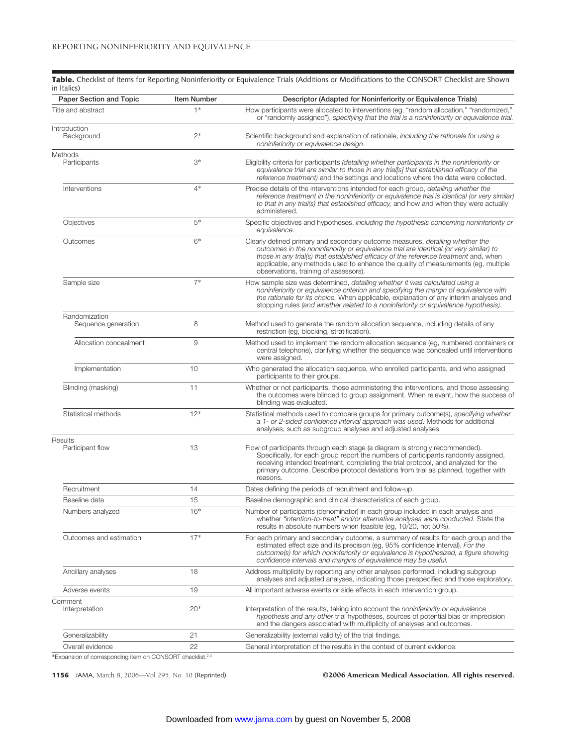|             |  | Table. Checklist of Items for Reporting Noninferiority or Equivalence Trials (Additions or Modifications to the CONSORT Checklist are Shown |  |  |  |  |  |
|-------------|--|---------------------------------------------------------------------------------------------------------------------------------------------|--|--|--|--|--|
| in Italics) |  |                                                                                                                                             |  |  |  |  |  |

| Paper Section and Topic              | <b>Item Number</b> | Descriptor (Adapted for Noninferiority or Equivalence Trials)                                                                                                                                                                                                                                                                                                                                 |  |  |  |  |  |  |
|--------------------------------------|--------------------|-----------------------------------------------------------------------------------------------------------------------------------------------------------------------------------------------------------------------------------------------------------------------------------------------------------------------------------------------------------------------------------------------|--|--|--|--|--|--|
| Title and abstract                   | $1*$               | How participants were allocated to interventions (eg, "random allocation," "randomized,"<br>or "randomly assigned"), specifying that the trial is a noninferiority or equivalence trial.                                                                                                                                                                                                      |  |  |  |  |  |  |
| Introduction<br>Background           | $2*$               | Scientific background and explanation of rationale, including the rationale for using a<br>noninferiority or equivalence design.                                                                                                                                                                                                                                                              |  |  |  |  |  |  |
| Methods<br>Participants              | 3*                 | Eligibility criteria for participants (detailing whether participants in the noninferiority or<br>equivalence trial are similar to those in any trial[s] that established efficacy of the<br>reference treatment) and the settings and locations where the data were collected.                                                                                                               |  |  |  |  |  |  |
| Interventions                        | $4*$               | Precise details of the interventions intended for each group, detailing whether the<br>reference treatment in the noninferiority or equivalence trial is identical (or very similar)<br>to that in any trial(s) that established efficacy, and how and when they were actually<br>administered.                                                                                               |  |  |  |  |  |  |
| Objectives                           | $5*$               | Specific objectives and hypotheses, including the hypothesis concerning noninferiority or<br>equivalence.                                                                                                                                                                                                                                                                                     |  |  |  |  |  |  |
| Outcomes                             | $6*$               | Clearly defined primary and secondary outcome measures, detailing whether the<br>outcomes in the noninferiority or equivalence trial are identical (or very similar) to<br>those in any trial(s) that established efficacy of the reference treatment and, when<br>applicable, any methods used to enhance the quality of measurements (eg, multiple<br>observations, training of assessors). |  |  |  |  |  |  |
| Sample size                          | $7*$               | How sample size was determined, detailing whether it was calculated using a<br>noninferiority or equivalence criterion and specifying the margin of equivalence with<br>the rationale for its choice. When applicable, explanation of any interim analyses and<br>stopping rules (and whether related to a noninferiority or equivalence hypothesis).                                         |  |  |  |  |  |  |
| Randomization<br>Sequence generation | 8                  | Method used to generate the random allocation sequence, including details of any<br>restriction (eg, blocking, stratification).                                                                                                                                                                                                                                                               |  |  |  |  |  |  |
| Allocation concealment               | 9                  | Method used to implement the random allocation sequence (eg, numbered containers or<br>central telephone), clarifying whether the sequence was concealed until interventions<br>were assigned.                                                                                                                                                                                                |  |  |  |  |  |  |
| Implementation                       | 10                 | Who generated the allocation sequence, who enrolled participants, and who assigned<br>participants to their groups.                                                                                                                                                                                                                                                                           |  |  |  |  |  |  |
| Blinding (masking)                   | 11                 | Whether or not participants, those administering the interventions, and those assessing<br>the outcomes were blinded to group assignment. When relevant, how the success of<br>blinding was evaluated.                                                                                                                                                                                        |  |  |  |  |  |  |
| Statistical methods                  | $12*$              | Statistical methods used to compare groups for primary outcome(s), specifying whether<br>a 1- or 2-sided confidence interval approach was used. Methods for additional<br>analyses, such as subgroup analyses and adjusted analyses.                                                                                                                                                          |  |  |  |  |  |  |
| Results<br>Participant flow          | 13                 | Flow of participants through each stage (a diagram is strongly recommended).<br>Specifically, for each group report the numbers of participants randomly assigned,<br>receiving intended treatment, completing the trial protocol, and analyzed for the<br>primary outcome. Describe protocol deviations from trial as planned, together with<br>reasons.                                     |  |  |  |  |  |  |
| Recruitment                          | 14                 | Dates defining the periods of recruitment and follow-up.                                                                                                                                                                                                                                                                                                                                      |  |  |  |  |  |  |
| Baseline data                        | 15                 | Baseline demographic and clinical characteristics of each group.                                                                                                                                                                                                                                                                                                                              |  |  |  |  |  |  |
| Numbers analyzed                     | $16*$              | Number of participants (denominator) in each group included in each analysis and<br>whether "intention-to-treat" and/or alternative analyses were conducted. State the<br>results in absolute numbers when feasible (eq. 10/20, not 50%).                                                                                                                                                     |  |  |  |  |  |  |
| Outcomes and estimation              | $17*$              | For each primary and secondary outcome, a summary of results for each group and the<br>estimated effect size and its precision (eg, 95% confidence interval). For the<br>outcome(s) for which noninferiority or equivalence is hypothesized, a figure showing<br>confidence intervals and margins of equivalence may be useful.                                                               |  |  |  |  |  |  |
| Ancillary analyses                   | 18                 | Address multiplicity by reporting any other analyses performed, including subgroup<br>analyses and adjusted analyses, indicating those prespecified and those exploratory.                                                                                                                                                                                                                    |  |  |  |  |  |  |
| Adverse events                       | 19                 | All important adverse events or side effects in each intervention group.                                                                                                                                                                                                                                                                                                                      |  |  |  |  |  |  |
| Comment<br>Interpretation            | $20*$              | Interpretation of the results, taking into account the <i>noninferiority</i> or equivalence<br>hypothesis and any other trial hypotheses, sources of potential bias or imprecision<br>and the dangers associated with multiplicity of analyses and outcomes.                                                                                                                                  |  |  |  |  |  |  |
| Generalizability                     | 21                 | Generalizability (external validity) of the trial findings.                                                                                                                                                                                                                                                                                                                                   |  |  |  |  |  |  |
| Overall evidence                     | 22                 | General interpretation of the results in the context of current evidence.                                                                                                                                                                                                                                                                                                                     |  |  |  |  |  |  |

\*Expansion of corresponding item on CONSORT checklist.<sup>2,3</sup>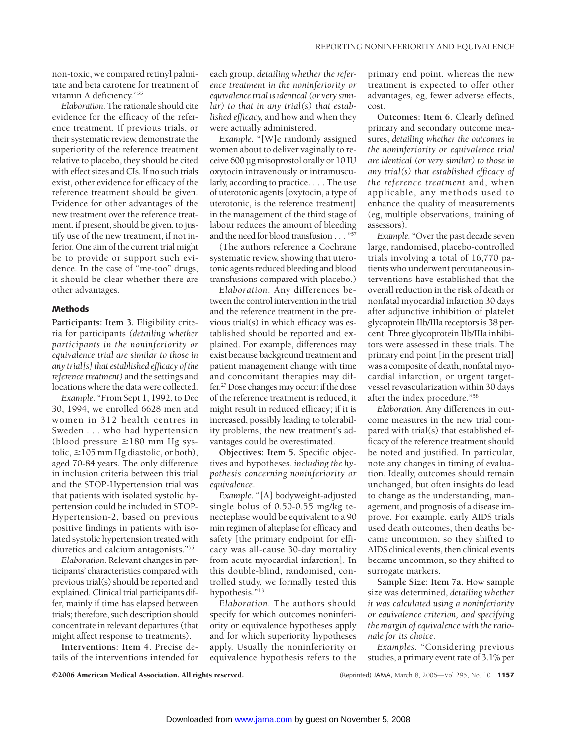non-toxic, we compared retinyl palmitate and beta carotene for treatment of vitamin A deficiency."55

*Elaboration.* The rationale should cite evidence for the efficacy of the reference treatment. If previous trials, or their systematic review, demonstrate the superiority of the reference treatment relative to placebo, they should be cited with effect sizes and CIs. If no such trials exist, other evidence for efficacy of the reference treatment should be given. Evidence for other advantages of the new treatment over the reference treatment, if present, should be given, to justify use of the new treatment, if not inferior. One aim of the current trial might be to provide or support such evidence. In the case of "me-too" drugs, it should be clear whether there are other advantages.

#### **Methods**

**Participants: Item 3.** Eligibility criteria for participants *(detailing whether participants in the noninferiority or equivalence trial are similar to those in any trial[s] that established efficacy of the reference treatment)* and the settings and locations where the data were collected.

*Example.* "From Sept 1, 1992, to Dec 30, 1994, we enrolled 6628 men and women in 312 health centres in Sweden . . . who had hypertension (blood pressure  $\geq$ 180 mm Hg systolic,  $\geq$ 105 mm Hg diastolic, or both), aged 70-84 years. The only difference in inclusion criteria between this trial and the STOP-Hypertension trial was that patients with isolated systolic hypertension could be included in STOP-Hypertension-2, based on previous positive findings in patients with isolated systolic hypertension treated with diuretics and calcium antagonists."56

*Elaboration.* Relevant changes in participants' characteristics compared with previous trial(s) should be reported and explained. Clinical trial participants differ, mainly if time has elapsed between trials; therefore, such description should concentrate in relevant departures (that might affect response to treatments).

**Interventions: Item 4.** Precise details of the interventions intended for each group, *detailing whether the reference treatment in the noninferiority or equivalence trial is identical (or very similar) to that in any trial(s) that established efficacy,* and how and when they were actually administered.

*Example.* "[W]e randomly assigned women about to deliver vaginally to receive 600 µg misoprostol orally or 10 IU oxytocin intravenously or intramuscularly, according to practice. . . . The use of uterotonic agents [oxytocin, a type of uterotonic, is the reference treatment] in the management of the third stage of labour reduces the amount of bleeding and the need for blood transfusion . . . "57

(The authors reference a Cochrane systematic review, showing that uterotonic agents reduced bleeding and blood transfusions compared with placebo.)

*Elaboration.* Any differences between the control intervention in the trial and the reference treatment in the previous trial(s) in which efficacy was established should be reported and explained. For example, differences may exist because background treatment and patient management change with time and concomitant therapies may differ.27 Dose changes may occur: if the dose of the reference treatment is reduced, it might result in reduced efficacy; if it is increased, possibly leading to tolerability problems, the new treatment's advantages could be overestimated.

**Objectives: Item 5.** Specific objectives and hypotheses, *including the hypothesis concerning noninferiority or equivalence*.

*Example.* "[A] bodyweight-adjusted single bolus of 0.50-0.55 mg/kg tenecteplase would be equivalent to a 90 min regimen of alteplase for efficacy and safety [the primary endpoint for efficacy was all-cause 30-day mortality from acute myocardial infarction]. In this double-blind, randomised, controlled study, we formally tested this hypothesis."<sup>13</sup>

*Elaboration.* The authors should specify for which outcomes noninferiority or equivalence hypotheses apply and for which superiority hypotheses apply. Usually the noninferiority or equivalence hypothesis refers to the

primary end point, whereas the new treatment is expected to offer other advantages, eg, fewer adverse effects, cost.

**Outcomes: Item 6.** Clearly defined primary and secondary outcome measures, *detailing whether the outcomes in the noninferiority or equivalence trial are identical (or very similar) to those in any trial(s) that established efficacy of the reference treatment* and, when applicable, any methods used to enhance the quality of measurements (eg, multiple observations, training of assessors).

*Example.* "Over the past decade seven large, randomised, placebo-controlled trials involving a total of 16,770 patients who underwent percutaneous interventions have established that the overall reduction in the risk of death or nonfatal myocardial infarction 30 days after adjunctive inhibition of platelet glycoprotein IIb/IIIa receptors is 38 percent. Three glycoprotein IIb/IIIa inhibitors were assessed in these trials. The primary end point [in the present trial] was a composite of death, nonfatal myocardial infarction, or urgent targetvessel revascularization within 30 days after the index procedure."58

*Elaboration.* Any differences in outcome measures in the new trial compared with trial(s) that established efficacy of the reference treatment should be noted and justified. In particular, note any changes in timing of evaluation. Ideally, outcomes should remain unchanged, but often insights do lead to change as the understanding, management, and prognosis of a disease improve. For example, early AIDS trials used death outcomes, then deaths became uncommon, so they shifted to AIDS clinical events, then clinical events became uncommon, so they shifted to surrogate markers.

**Sample Size: Item 7a.** How sample size was determined, *detailing whether it was calculated using a noninferiority or equivalence criterion, and specifying the margin of equivalence with the rationale for its choice*.

*Examples.* "Considering previous studies, a primary event rate of 3.1% per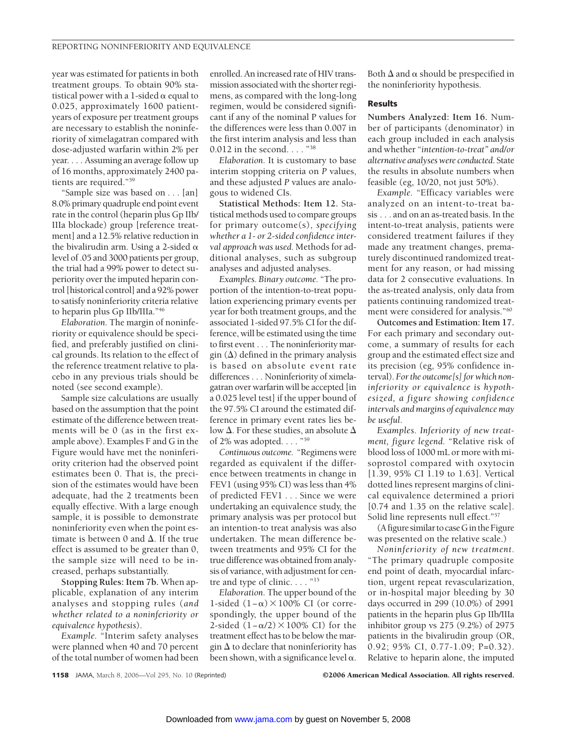year was estimated for patients in both treatment groups. To obtain 90% statistical power with a 1-sided  $\alpha$  equal to 0.025, approximately 1600 patientyears of exposure per treatment groups are necessary to establish the noninferiority of ximelagatran compared with dose-adjusted warfarin within 2% per year. . . . Assuming an average follow up of 16 months, approximately 2400 patients are required."59

"Sample size was based on... [an] 8.0% primary quadruple end point event rate in the control (heparin plus Gp IIb/ IIIa blockade) group [reference treatment] and a 12.5% relative reduction in the bivalirudin arm. Using a 2-sided  $\alpha$ level of .05 and 3000 patients per group, the trial had a 99% power to detect superiority over the imputed heparin control [historical control] and a 92% power to satisfy noninferiority criteria relative to heparin plus Gp IIb/IIIa."46

*Elaboration.* The margin of noninferiority or equivalence should be specified, and preferably justified on clinical grounds. Its relation to the effect of the reference treatment relative to placebo in any previous trials should be noted (see second example).

Sample size calculations are usually based on the assumption that the point estimate of the difference between treatments will be 0 (as in the first example above). Examples F and G in the Figure would have met the noninferiority criterion had the observed point estimates been 0. That is, the precision of the estimates would have been adequate, had the 2 treatments been equally effective. With a large enough sample, it is possible to demonstrate noninferiority even when the point estimate is between 0 and  $\Delta$ . If the true effect is assumed to be greater than 0, the sample size will need to be increased, perhaps substantially.

**Stopping Rules: Item 7b.** When applicable, explanation of any interim analyses and stopping rules (*and whether related to a noninferiority or equivalence hypothesis*).

*Example.* "Interim safety analyses were planned when 40 and 70 percent of the total number of women had been enrolled. An increased rate of HIV transmission associated with the shorter regimens, as compared with the long-long regimen, would be considered significant if any of the nominal P values for the differences were less than 0.007 in the first interim analysis and less than 0.012 in the second...."38

*Elaboration.* It is customary to base interim stopping criteria on *P* values, and these adjusted *P* values are analogous to widened CIs.

**Statistical Methods: Item 12.** Statistical methods used to compare groups for primary outcome(s), *specifying whether a 1- or 2-sided confidence interval approach was used.* Methods for additional analyses, such as subgroup analyses and adjusted analyses.

*Examples. Binary outcome.* "The proportion of the intention-to-treat population experiencing primary events per year for both treatment groups, and the associated 1-sided 97.5% CI for the difference, will be estimated using the time to first event . . . The noninferiority margin  $(\Delta)$  defined in the primary analysis is based on absolute event rate differences... Noninferiority of ximelagatran over warfarin will be accepted [in a 0.025 level test] if the upper bound of the 97.5% CI around the estimated difference in primary event rates lies below  $\Delta$ . For these studies, an absolute  $\Delta$ of 2% was adopted...."59

*Continuous outcome.* "Regimens were regarded as equivalent if the difference between treatments in change in FEV1 (using 95% CI) was less than 4% of predicted FEV1... Since we were undertaking an equivalence study, the primary analysis was per protocol but an intention-to treat analysis was also undertaken. The mean difference between treatments and 95% CI for the true difference was obtained from analysis of variance, with adjustment for centre and type of clinic...."<sup>15</sup>

*Elaboration.* The upper bound of the 1-sided  $(1-\alpha) \times 100\%$  CI (or correspondingly, the upper bound of the 2-sided  $(1-\alpha/2) \times 100\%$  CI) for the treatment effect has to be below the margin  $\Delta$  to declare that noninferiority has been shown, with a significance level  $\alpha$ .

Both  $\Delta$  and  $\alpha$  should be prespecified in the noninferiority hypothesis.

#### **Results**

**Numbers Analyzed: Item 16.** Number of participants (denominator) in each group included in each analysis and whether "*intention-to-treat" and/or alternative analyses were conducted*. State the results in absolute numbers when feasible (eg, 10/20, not just 50%).

*Example.* "Efficacy variables were analyzed on an intent-to-treat basis . . . and on an as-treated basis. In the intent-to-treat analysis, patients were considered treatment failures if they made any treatment changes, prematurely discontinued randomized treatment for any reason, or had missing data for 2 consecutive evaluations. In the as-treated analysis, only data from patients continuing randomized treatment were considered for analysis."60

**Outcomes and Estimation: Item 17.** For each primary and secondary outcome, a summary of results for each group and the estimated effect size and its precision (eg, 95% confidence interval). *Forthe outcome[s] for which noninferiority or equivalence is hypothesized, a figure showing confidence intervals and margins of equivalence may be useful*.

*Examples. Inferiority of new treatment, figure legend.* "Relative risk of blood loss of 1000 mL or more with misoprostol compared with oxytocin [1.39, 95% CI 1.19 to 1.63]. Vertical dotted lines represent margins of clinical equivalence determined a priori [0.74 and 1.35 on the relative scale]. Solid line represents null effect."57

(A figure similar to case G in the Figure was presented on the relative scale.)

*Noninferiority of new treatment.* "The primary quadruple composite end point of death, myocardial infarction, urgent repeat revascularization, or in-hospital major bleeding by 30 days occurred in 299 (10.0%) of 2991 patients in the heparin plus Gp IIb/IIIa inhibitor group vs 275 (9.2%) of 2975 patients in the bivalirudin group (OR, 0.92; 95% CI, 0.77-1.09; P=0.32). Relative to heparin alone, the imputed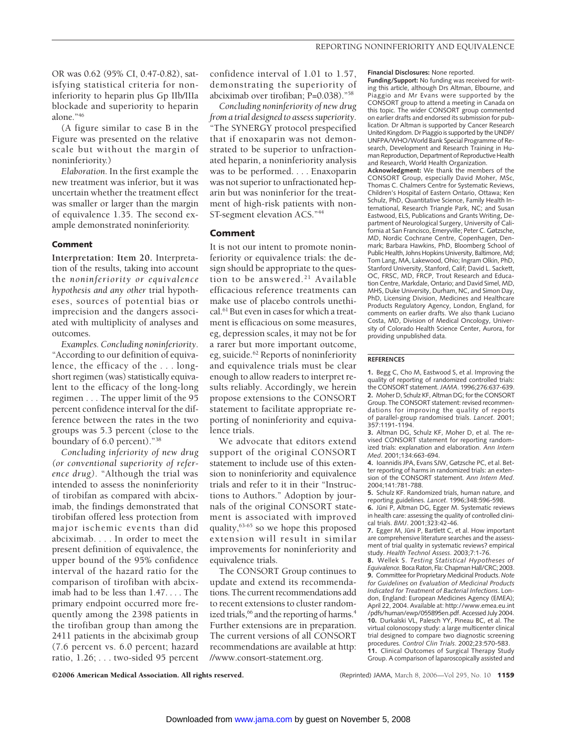OR was 0.62 (95% CI, 0.47-0.82), satisfying statistical criteria for noninferiority to heparin plus Gp IIb/IIIa blockade and superiority to heparin alone."46

(A figure similar to case B in the Figure was presented on the relative scale but without the margin of noninferiority.)

*Elaboration.* In the first example the new treatment was inferior, but it was uncertain whether the treatment effect was smaller or larger than the margin of equivalence 1.35. The second example demonstrated noninferiority.

#### **Comment**

**Interpretation: Item 20.** Interpretation of the results, taking into account the *noninferiority or equivalence hypothesis and any other* trial hypotheses, sources of potential bias or imprecision and the dangers associated with multiplicity of analyses and outcomes.

*Examples. Concluding noninferiority.* "According to our definition of equivalence, the efficacy of the... longshort regimen (was) statistically equivalent to the efficacy of the long-long regimen . . . The upper limit of the 95 percent confidence interval for the difference between the rates in the two groups was 5.3 percent (close to the boundary of 6.0 percent)."38

*Concluding inferiority of new drug (or conventional superiority of reference drug).* "Although the trial was intended to assess the noninferiority of tirobifan as compared with abciximab, the findings demonstrated that tirobifan offered less protection from major ischemic events than did abciximab. . . . In order to meet the present definition of equivalence, the upper bound of the 95% confidence interval of the hazard ratio for the comparison of tirofiban with abciximab had to be less than 1.47. . . . The primary endpoint occurred more frequently among the 2398 patients in the tirofiban group than among the 2411 patients in the abciximab group (7.6 percent vs. 6.0 percent; hazard ratio, 1.26;... two-sided 95 percent confidence interval of 1.01 to 1.57, demonstrating the superiority of abciximab over tirofiban; P=0.038)."58

*Concluding noninferiority of new drug from a trial designed to assess superiority.* "The SYNERGY protocol prespecified that if enoxaparin was not demonstrated to be superior to unfractionated heparin, a noninferiority analysis was to be performed.... Enaxoparin was not superior to unfractionated heparin but was noninferior for the treatment of high-risk patients with non-ST-segment elevation ACS."<sup>44</sup>

#### **Comment**

It is not our intent to promote noninferiority or equivalence trials: the design should be appropriate to the question to be answered.<sup>21</sup> Available efficacious reference treatments can make use of placebo controls unethical.61 But even in cases for which a treatment is efficacious on some measures, eg, depression scales, it may not be for a rarer but more important outcome, eg, suicide.<sup>62</sup> Reports of noninferiority and equivalence trials must be clear enough to allow readers to interpret results reliably. Accordingly, we herein propose extensions to the CONSORT statement to facilitate appropriate reporting of noninferiority and equivalence trials.

We advocate that editors extend support of the original CONSORT statement to include use of this extension to noninferiority and equivalence trials and refer to it in their "Instructions to Authors." Adoption by journals of the original CONSORT statement is associated with improved quality,63-65 so we hope this proposed extension will result in similar improvements for noninferiority and equivalence trials.

The CONSORT Group continues to update and extend its recommendations. The current recommendations add to recent extensions to cluster randomized trials,<sup>66</sup> and the reporting of harms.<sup>4</sup> Further extensions are in preparation. The current versions of all CONSORT recommendations are available at http: //www.consort-statement.org.

**Financial Disclosures:** None reported.

**Funding/Support:** No funding was received for writing this article, although Drs Altman, Elbourne, and Piaggio and Mr Evans were supported by the CONSORT group to attend a meeting in Canada on this topic. The wider CONSORT group commented on earlier drafts and endorsed its submission for publication. Dr Altman is supported by Cancer Research United Kingdom. Dr Piaggio is supported by the UNDP/ UNFPA/WHO/World Bank Special Programme of Research, Development and Research Training in Human Reproduction, Department of Reproductive Health and Research, World Health Organization.

**Acknowledgment:** We thank the members of the CONSORT Group, especially David Moher, MSc, Thomas C. Chalmers Centre for Systematic Reviews, Children's Hospital of Eastern Ontario, Ottawa; Ken Schulz, PhD, Quantitative Science, Family Health International, Research Triangle Park, NC; and Susan Eastwood, ELS, Publications and Grants Writing, Department of Neurological Surgery, University of California at San Francisco, Emeryville; Peter C. Gøtzsche, MD, Nordic Cochrane Centre, Copenhagen, Denmark; Barbara Hawkins, PhD, Bloomberg School of Public Health, Johns Hopkins University, Baltimore, Md; Tom Lang, MA, Lakewood, Ohio; Ingram Olkin, PhD, Stanford University, Stanford, Calif; David L. Sackett, OC, FRSC, MD, FRCP, Trout Research and Education Centre, Markdale, Ontario; and David Simel, MD, MHS, Duke University, Durham, NC, and Simon Day, PhD, Licensing Division, Medicines and Healthcare Products Regulatory Agency, London, England, for comments on earlier drafts. We also thank Luciano Costa, MD, Division of Medical Oncology, University of Colorado Health Science Center, Aurora, for providing unpublished data.

#### **REFERENCES**

**1.** Begg C, Cho M, Eastwood S, et al. Improving the quality of reporting of randomized controlled trials: the CONSORT statement.*JAMA*. 1996;276:637-639. **2.** Moher D, Schulz KF, Altman DG; for the CONSORT Group. The CONSORT statement: revised recommendations for improving the quality of reports of parallel-group randomised trials. *Lancet*. 2001; 357:1191-1194.

**3.** Altman DG, Schulz KF, Moher D, et al. The revised CONSORT statement for reporting randomized trials: explanation and elaboration. *Ann Intern Med*. 2001;134:663-694.

**4.** Ioannidis JPA, Evans SJW, Gøtzsche PC, et al. Better reporting of harms in randomized trials: an extension of the CONSORT statement. *Ann Intern Med*. 2004;141:781-788.

**5.** Schulz KF. Randomized trials, human nature, and reporting guidelines. *Lancet.* 1996;348:596-598.<br>**6.** Jüni P, Altman DG, Egger M. Systematic reviews

in health care: assessing the quality of controlled clinical trials. *BMJ*. 2001;323:42-46.

**7.** Egger M, Jüni P, Bartlett C, et al. How important are comprehensive literature searches and the assessment of trial quality in systematic reviews? empirical study. *Health Technol Assess*. 2003;7:1-76.

**8.** Wellek S. *Testing Statistical Hypotheses of Equivalence.* Boca Raton, Fla: Chapman Hall/CRC; 2003. **9.** Committee for Proprietary Medicinal Products. *Note for Guidelines on Evaluation of Medicinal Products Indicated for Treatment of Bacterial Infections*. London, England: European Medicines Agency (EMEA); April 22, 2004. Available at: http://www.emea.eu.int /pdfs/human/ewp/055895en.pdf. Accessed July 2004. **10.** Durkalski VL, Palesch YY, Pineau BC, et al. The virtual colonoscopy study: a large multicenter clinical trial designed to compare two diagnostic screening procedures. *Control Clin Trials*. 2002;23:570-583. **11.** Clinical Outcomes of Surgical Therapy Study Group. A comparison of laparoscopically assisted and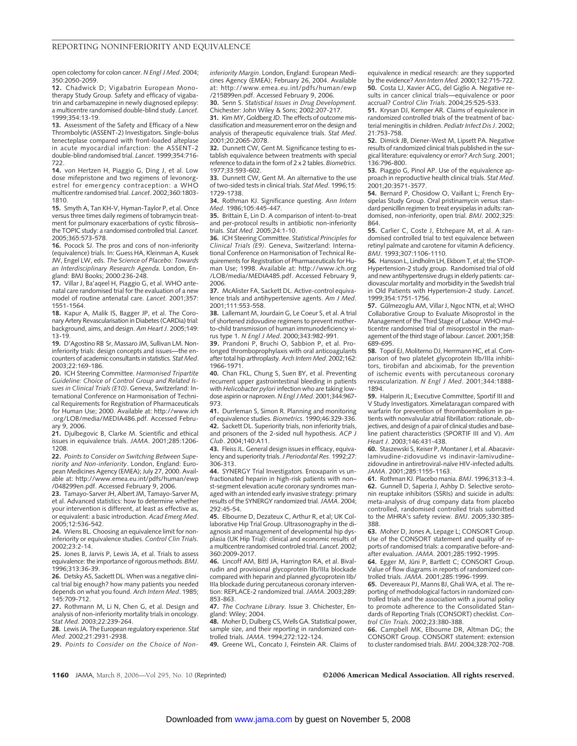open colectomy for colon cancer. *N Engl J Med*. 2004; 350:2050-2059.

**12.** Chadwick D; Vigabatrin European Monotherapy Study Group. Safety and efficacy of vigabatrin and carbamazepine in newly diagnosed epilepsy: a multicentre randomised double-blind study. *Lancet*. 1999;354:13-19.

**13.** Assessment of the Safety and Efficacy of a New Thrombolytic (ASSENT-2) Investigators. Single-bolus tenecteplase compared with front-loaded alteplase in acute myocardial infarction: the ASSENT-2 double-blind randomised trial. *Lancet*. 1999;354:716- 722.

**14.** von Hertzen H, Piaggio G, Ding J, et al. Low dose mifepristone and two regimens of levonorgestrel for emergency contraception: a WHO multicentre randomised trial. *Lancet*. 2002;360:1803- 1810.

**15.** Smyth A, Tan KH-V, Hyman-Taylor P, et al. Once versus three times daily regimens of tobramycin treatment for pulmonary exacerbations of cystic fibrosis– the TOPIC study: a randomised controlled trial. *Lancet*. 2005;365:573-578.

**16.** Pocock SJ. The pros and cons of non-inferiority (equivalence) trials. In: Guess HA, Kleinman A, Kusek JW, Engel LW, eds. *The Science of Placebo: Towards an Interdisciplinary Research Agenda.* London, England: BMJ Books; 2000:236-248.

**17.** Villar J, Ba'aqeel H, Piaggio G, et al. WHO antenatal care randomised trial for the evaluation of a new model of routine antenatal care. *Lancet*. 2001;357: 1551-1564.

**18.** Kapur A, Malik IS, Bagger JP, et al. The Coronary Artery Revascularisation in Diabetes (CARDia) trial: background, aims, and design. *Am Heart J*. 2005;149: 13-19.

**19.** D'Agostino RB Sr, Massaro JM, Sullivan LM. Noninferiority trials: design concepts and issues—the encounters of academic consultants in statistics. *Stat Med*. 2003;22:169-186.

**20.** ICH Steering Committee. *Harmonised Tripartite Guideline: Choice of Control Group and Related Issues in Clinical Trials (E10)*. Geneva, Switzerland: International Conference on Harmonisation of Technical Requirements for Registration of Pharmaceuticals for Human Use; 2000. Available at: http://www.ich .org/LOB/media/MEDIA486.pdf. Accessed February 9, 2006.

**21.** Djulbegovic B, Clarke M. Scientific and ethical issues in equivalence trials. *JAMA*. 2001;285:1206- 1208.

**22.** *Points to Consider on Switching Between Superiority and Non-inferiority*. London, England: European Medicines Agency (EMEA); July 27, 2000. Available at: http://www.emea.eu.int/pdfs/human/ewp /048299en.pdf. Accessed February 9, 2006.

**23.** Tamayo-Sarver JH, Albert JM, Tamayo-Sarver M, et al. Advanced statistics: how to determine whether your intervention is different, at least as effective as, or equivalent: a basic introduction. *Acad Emerg Med*. 2005;12:536-542.

**24.** Wiens BL. Choosing an equivalence limit for noninferiority or equivalence studies. *Control Clin Trials*. 2002;23:2-14.

**25.** Jones B, Jarvis P, Lewis JA, et al. Trials to assess equivalence: the importance of rigorous methods. *BMJ*. 1996;313:36-39.

**26.** Detsky AS, Sackett DL. When was a negative clinical trial big enough? how many patients you needed depends on what you found. *Arch Intern Med*. 1985; 145:709-712.

**27.** Rothmann M, Li N, Chen G, et al. Design and analysis of non-inferiority mortality trials in oncology. *Stat Med*. 2003;22:239-264.

**28.** Lewis JA. The European regulatory experience. *Stat Med*. 2002;21:2931-2938.

**29.** *Points to Consider on the Choice of Non-*

*inferiority Margin*. London, England: European Medicines Agency (EMEA); February 26, 2004. Available at: http://www.emea.eu.int/pdfs/human/ewp /215899en.pdf. Accessed February 9, 2006.

**30.** Senn S. *Statistical Issues in Drug Development.* Chichester: John Wiley & Sons; 2002:207-217.

**31.** Kim MY, Goldberg JD. The effects of outcome misclassification and measurement error on the design and analysis of therapeutic equivalence trials. *Stat Med*. 2001;20:2065-2078.

**32.** Dunnett CW, Gent M. Significance testing to establish equivalence between treatments with special reference to data in the form of2x2 tables. *Biometrics*. 1977;33:593-602.

**33.** Dunnett CW, Gent M. An alternative to the use of two-sided tests in clinical trials. *Stat Med*. 1996;15: 1729-1738.

**34.** Rothman KJ. Significance questing. *Ann Intern Med*. 1986;105:445-447.

**35.** Brittain E, Lin D. A comparison of intent-to-treat and per-protocol results in antibiotic non-inferiority trials. *Stat Med*. 2005;24:1-10.

**36.** ICH Steering Committee. *Statistical Principles for Clinical Trials (E9)*. Geneva, Switzerland: International Conference on Harmonisation of Technical Requirements for Registration of Pharmaceuticals for Human Use; 1998. Available at: http://www.ich.org /LOB/media/MEDIA485.pdf. Accessed February 9, 2006.

**37.** McAlister FA, Sackett DL. Active-control equivalence trials and antihypertensive agents. *Am J Med*. 2001;111:553-558.

**38.** Lallemant M, Jourdain G, Le Coeur S, et al. A trial of shortened zidovudine regimens to prevent motherto-child transmission of human immunodeficiency virus type 1. *N Engl J Med*. 2000;343:982-991.

**39.** Prandoni P, Bruchi O, Sabbion P, et al. Prolonged thromboprophylaxis with oral anticoagulants after total hip arthroplasty. *Arch Intern Med*. 2002;162: 1966-1971.

**40.** Chan FKL, Chung S, Suen BY, et al. Preventing recurrent upper gastrointestinal bleeding in patients with *Helicobacter pylori* infection who are taking lowdose aspirin or naproxen. *N Engl J Med*. 2001;344:967- 973.

**41.** Durrleman S, Simon R. Planning and monitoring of equivalence studies. *Biometrics*. 1990;46:329-336. **42.** Sackett DL. Superiority trials, non inferiority trials, and prisoners of the 2-sided null hypothesis. *ACP J Club*. 2004;140:A11.

**43.** Fleiss JL. General design issues in efficacy, equivalency and superiority trials.*J Periodontal Res*. 1992;27: 306-313.

**44.** SYNERGY Trial Investigators. Enoxaparin vs unfractionated heparin in high-risk patients with non– st-segment elevation acute coronary syndromes managed with an intended early invasive strategy: primary results of the SYNERGY randomized trial.*JAMA*. 2004; 292:45-54.

**45.** Elbourne D, Dezateux C, Arthur R, et al; UK Collaborative Hip Trial Group. Ultrasonography in the diagnosis and management of developmental hip dysplasia (UK Hip Trial): clinical and economic results of a multicentre randomised controled trial. *Lancet*. 2002; 360:2009-2017.

**46.** Lincoff AM, Bittl JA, Harrington RA, et al. Bivalrudin and provisional glycoprotein IIb/IIIa blockade compared with heparin and planned glycoprotein IIb/ IIIa blockade during percutaneous coronary intervention: REPLACE-2 randomized trial. *JAMA*. 2003;289: 853-863.

**47.** *The Cochrane Library.* Issue 3. Chichester, England: Wiley; 2004.

**48.** Moher D, Dulberg CS, Wells GA. Statistical power, sample size, and their reporting in randomized controlled trials. *JAMA*. 1994;272:122-124.

**49.** Greene WL, Concato J, Feinstein AR. Claims of

equivalence in medical research: are they supported by the evidence? *Ann Intern Med*. 2000;132:715-722. **50.** Costa LJ, Xavier ACG, del Giglio A. Negative results in cancer clinical trials—equivalence or poor accrual? *Control Clin Trials*. 2004;25:525-533.

**51.** Krysan DJ, Kemper AR. Claims of equivalence in randomized controlled trials of the treatment of bacterial meningitis in children. *Pediatr Infect Dis J*. 2002; 21:753-758.

**52.** Dimick JB, Diener-West M, Lipsett PA. Negative results of randomized clinical trials published in the surgical literature: equivalency or error? *Arch Surg*. 2001; 136:796-800.

**53.** Piaggio G, Pinol AP. Use of the equivalence approach in reproductive health clinical trials. *Stat Med*. 2001;20:3571-3577.

**54.** Bernard P, Chosidow O, Vaillant L; French Erysipelas Study Group. Oral pristinamycin versus standard penicillin regimen to treat erysipelas in adults: randomised, non-inferiority, open trial. *BMJ*. 2002;325: 864.

**55.** Carlier C, Coste J, Etchepare M, et al. A randomised controlled trial to test equivalence between retinyl palmate and carotene for vitamin A deficiency. *BMJ*. 1993;307:1106-1110.

**56.** Hansson L, Lindholm LH, Ekbom T, et al; the STOP-Hypertension-2 study group. Randomised trial of old and new antihypertensive drugs in elderly patients: cardiovascular mortality and morbidity in the Swedish trial in Old Patients with Hypertension-2 study. *Lancet*. 1999;354:1751-1756.

**57.** Gülmezoglu AM, Villar J, Ngoc NTN, et al; WHO Collaborative Group to Evaluate Misoprostol in the Management of the Third Stage of Labour. WHO multicentre randomised trial of misoprostol in the management of the third stage of labour. *Lancet*. 2001;358: 689-695.

**58.** Topol EJ, Moliterno DJ, Herrmann HC, et al. Comparison of two platelet glycoprotein IIb/IIIa inhibitors, tirobifan and abciximab, for the prevention of ischemic events with percutaneous coronary revascularization. *N Engl J Med*. 2001;344:1888- 1894.

**59.** Halperin JL; Executive Committee, Sportif III and V Study Investigators. Ximelataragan compared with warfarin for prevention of thromboembolism in patients with nonvalvular atrial fibrillation: rationale, objectives, and design of a pair of clinical studies and baseline patient characteristics (SPORTIF III and V). *Am Heart J*. 2003;146:431-438.

**60.** Staszewski S, Keiser P, Montaner J, et al. Abacavirlamivudine-zidovudine vs indinavir-lamivudinezidovudine in antiretroviral-naïve HIV-infected adults. *JAMA*. 2001;285:1155-1163.

**61.** Rothman KJ. Placebo mania. *BMJ*. 1996;313:3-4. **62.** Gunnell D, Saperia J, Ashby D. Selective serotonin reuptake inhibitors (SSRIs) and suicide in adults: meta-analysis of drug company data from placebo controlled, randomised controlled trials submitted to the MHRA's safety review. *BMJ*. 2005;330:385- 388.

**63.** Moher D, Jones A, Lepage L; CONSORT Group. Use of the CONSORT statement and quality of reports of randomised trials: a comparative before-andafter evaluation. *JAMA*. 2001;285:1992-1995.

64. Egger M, Jüni P, Bartlett C; CONSORT Group. Value of flow diagrams in reports of randomized controlled trials. *JAMA*. 2001;285:1996-1999.

**65.** Devereaux PJ, Manns BJ, Ghali WA, et al. The reporting of methodological factors in randomized controlled trials and the association with a journal policy to promote adherence to the Consolidated Standards of Reporting Trials (CONSORT) checklist. *Control Clin Trials*. 2002;23:380-388.

**66.** Campbell MK, Elbourne DR, Altman DG; the CONSORT Group. CONSORT statement: extension to cluster randomised trials. *BMJ*. 2004;328:702-708.